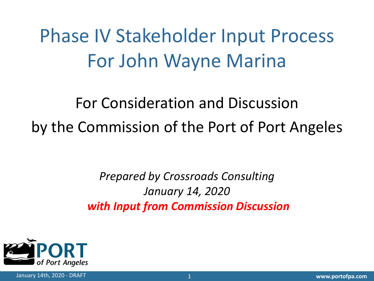Phase IV Stakeholder Input Process For John Wayne Marina

For Consideration and Discussion by the Commission of the Port of Port Angeles

> *Prepared by Crossroads Consulting January 14, 2020 with Input from Commission Discussion*

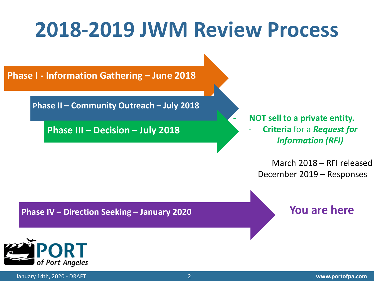#### **2018-2019 JWM Review Process**

**Phase I - Information Gathering – June 2018**

**Phase II – Community Outreach – July 2018**

**Phase III – Decision – July 2018**

- **NOT sell to a private entity.** - **Criteria** for a *Request for Information (RFI)*

March 2018 – RFI released December 2019 – Responses

**Phase IV – Direction Seeking – January 2020**

**You are here**



2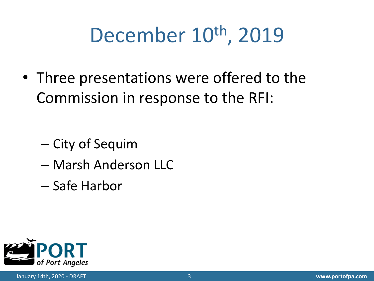# December 10<sup>th</sup>, 2019

• Three presentations were offered to the Commission in response to the RFI:

- City of Sequim
- Marsh Anderson LLC
- Safe Harbor

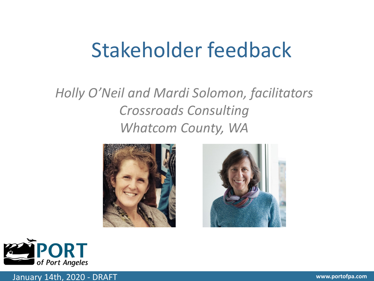#### Stakeholder feedback

#### *Holly O'Neil and Mardi Solomon, facilitators Crossroads Consulting Whatcom County, WA*







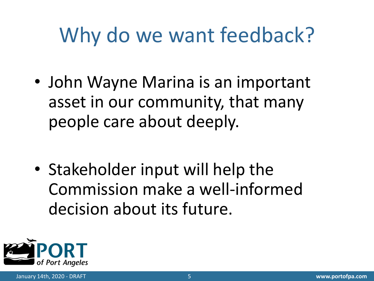# Why do we want feedback?

• John Wayne Marina is an important asset in our community, that many people care about deeply.

• Stakeholder input will help the Commission make a well-informed decision about its future.

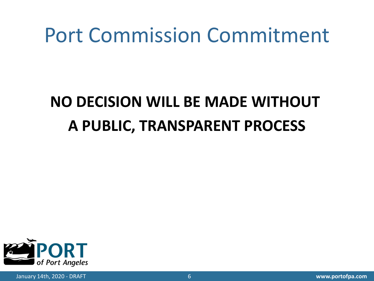#### Port Commission Commitment

#### **NO DECISION WILL BE MADE WITHOUT A PUBLIC, TRANSPARENT PROCESS**

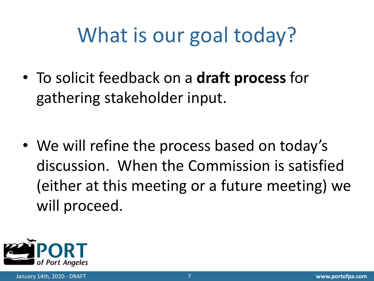# What is our goal today?

• To solicit feedback on a **draft process** for gathering stakeholder input.

• We will refine the process based on today's discussion. When the Commission is satisfied (either at this meeting or a future meeting) we will proceed.

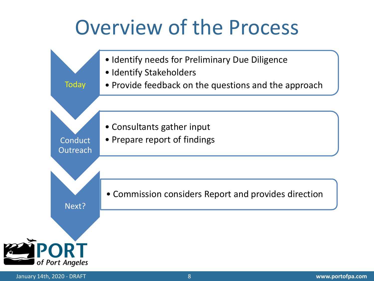#### Overview of the Process

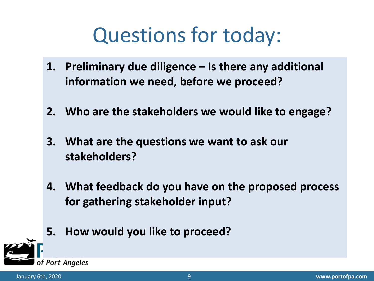# Questions for today:

- **1. Preliminary due diligence – Is there any additional information we need, before we proceed?**
- **2. Who are the stakeholders we would like to engage?**
- **3. What are the questions we want to ask our stakeholders?**
- **4. What feedback do you have on the proposed process for gathering stakeholder input?**
- **5. How would you like to proceed?**

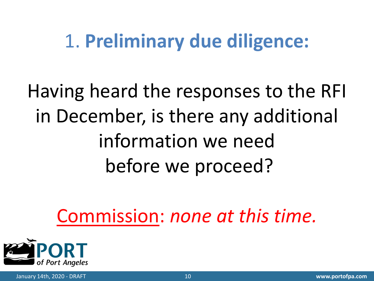#### 1. **Preliminary due diligence:**

Having heard the responses to the RFI in December, is there any additional information we need before we proceed?

Commission: *none at this time.*

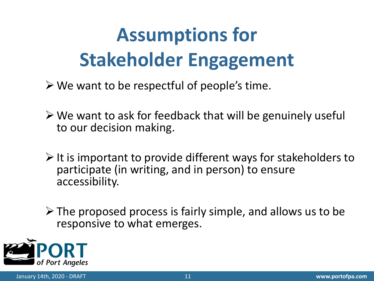# **Assumptions for Stakeholder Engagement**

- $\triangleright$  We want to be respectful of people's time.
- $\triangleright$  We want to ask for feedback that will be genuinely useful to our decision making.
- $\triangleright$  It is important to provide different ways for stakeholders to participate (in writing, and in person) to ensure accessibility.
- $\triangleright$  The proposed process is fairly simple, and allows us to be responsive to what emerges.

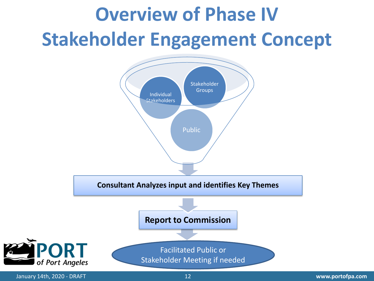# **Overview of Phase IV Stakeholder Engagement Concept**

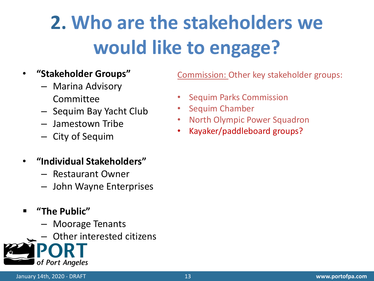# **2. Who are the stakeholders we would like to engage?**

#### • **"Stakeholder Groups"**

- Marina Advisory Committee
- Sequim Bay Yacht Club
- Jamestown Tribe
- City of Sequim
- **"Individual Stakeholders"**
	- Restaurant Owner
	- John Wayne Enterprises
- **"The Public"**
	- Moorage Tenants
	- Other interested citizens



Commission: Other key stakeholder groups:

- Sequim Parks Commission
- Sequim Chamber
- North Olympic Power Squadron
- Kayaker/paddleboard groups?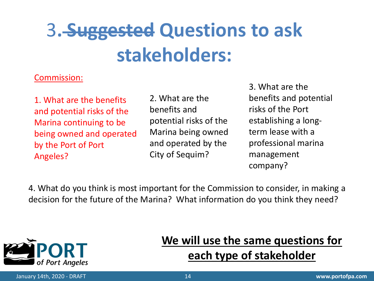## 3**. Suggested Questions to ask stakeholders:**

#### Commission:

1. What are the benefits and potential risks of the Marina continuing to be being owned and operated by the Port of Port Angeles?

2. What are the benefits and potential risks of the Marina being owned and operated by the City of Sequim?

3. What are the benefits and potential risks of the Port establishing a longterm lease with a professional marina management company?

4. What do you think is most important for the Commission to consider, in making a decision for the future of the Marina? What information do you think they need?



#### **We will use the same questions for each type of stakeholder**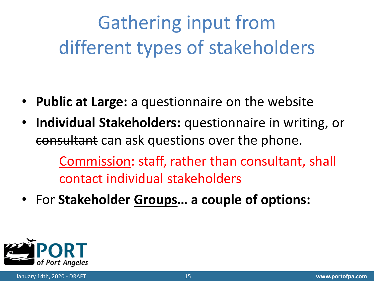Gathering input from different types of stakeholders

- **Public at Large:** a questionnaire on the website
- **Individual Stakeholders:** questionnaire in writing, or consultant can ask questions over the phone.

Commission: staff, rather than consultant, shall contact individual stakeholders

• For **Stakeholder Groups… a couple of options:**

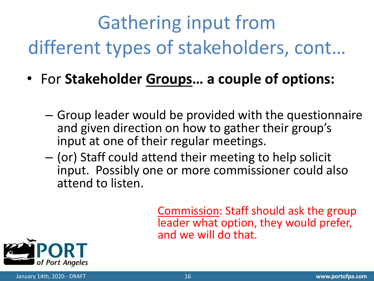# Gathering input from different types of stakeholders, cont…

- For **Stakeholder Groups… a couple of options:**
	- Group leader would be provided with the questionnaire and given direction on how to gather their group's input at one of their regular meetings.
	- (or) Staff could attend their meeting to help solicit input. Possibly one or more commissioner could also attend to listen.

Commission: Staff should ask the group leader what option, they would prefer, and we will do that.

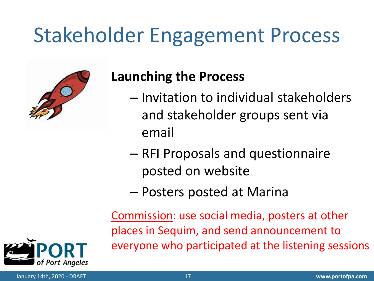# Stakeholder Engagement Process



#### **Launching the Process**

- Invitation to individual stakeholders and stakeholder groups sent via email
- RFI Proposals and questionnaire posted on website
- Posters posted at Marina

Commission: use social media, posters at other places in Sequim, and send announcement to everyone who participated at the listening sessions

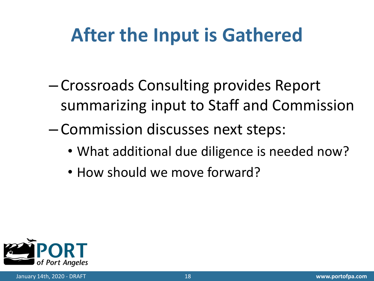#### **After the Input is Gathered**

- Crossroads Consulting provides Report summarizing input to Staff and Commission
- Commission discusses next steps:
	- What additional due diligence is needed now?
	- How should we move forward?

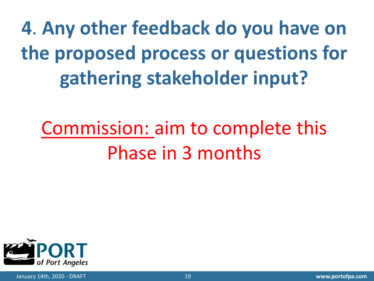**4**. **Any other feedback do you have on the proposed process or questions for gathering stakeholder input?** 

## Commission: aim to complete this Phase in 3 months

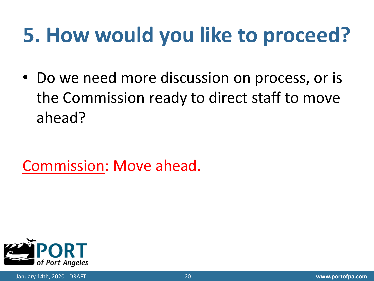# **5. How would you like to proceed?**

• Do we need more discussion on process, or is the Commission ready to direct staff to move ahead?

Commission: Move ahead.